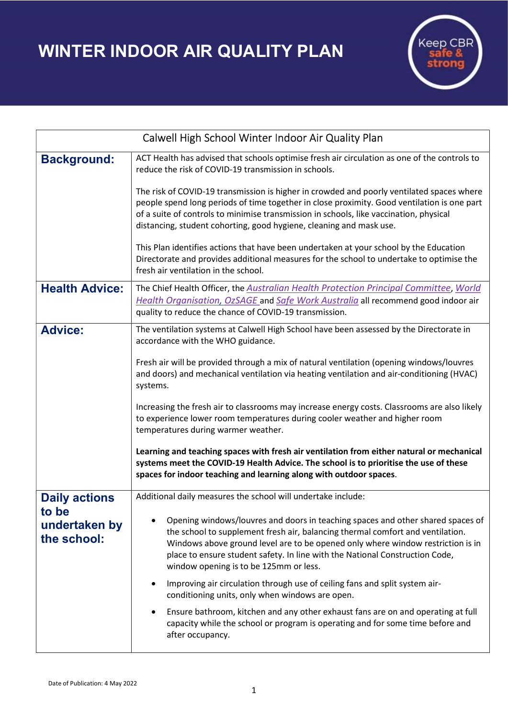## WINTER INDOOR AIR QUALITY PLAN



| Calwell High School Winter Indoor Air Quality Plan |                                                                                                                                                                                                                                                                                                                                                                                |
|----------------------------------------------------|--------------------------------------------------------------------------------------------------------------------------------------------------------------------------------------------------------------------------------------------------------------------------------------------------------------------------------------------------------------------------------|
| <b>Background:</b>                                 | ACT Health has advised that schools optimise fresh air circulation as one of the controls to<br>reduce the risk of COVID-19 transmission in schools.                                                                                                                                                                                                                           |
|                                                    | The risk of COVID-19 transmission is higher in crowded and poorly ventilated spaces where<br>people spend long periods of time together in close proximity. Good ventilation is one part<br>of a suite of controls to minimise transmission in schools, like vaccination, physical<br>distancing, student cohorting, good hygiene, cleaning and mask use.                      |
|                                                    | This Plan identifies actions that have been undertaken at your school by the Education<br>Directorate and provides additional measures for the school to undertake to optimise the<br>fresh air ventilation in the school.                                                                                                                                                     |
| <b>Health Advice:</b>                              | The Chief Health Officer, the Australian Health Protection Principal Committee, World<br>Health Organisation, OzSAGE and Safe Work Australia all recommend good indoor air<br>quality to reduce the chance of COVID-19 transmission.                                                                                                                                           |
| <b>Advice:</b>                                     | The ventilation systems at Calwell High School have been assessed by the Directorate in<br>accordance with the WHO guidance.                                                                                                                                                                                                                                                   |
|                                                    | Fresh air will be provided through a mix of natural ventilation (opening windows/louvres<br>and doors) and mechanical ventilation via heating ventilation and air-conditioning (HVAC)<br>systems.                                                                                                                                                                              |
|                                                    | Increasing the fresh air to classrooms may increase energy costs. Classrooms are also likely<br>to experience lower room temperatures during cooler weather and higher room<br>temperatures during warmer weather.                                                                                                                                                             |
|                                                    | Learning and teaching spaces with fresh air ventilation from either natural or mechanical<br>systems meet the COVID-19 Health Advice. The school is to prioritise the use of these<br>spaces for indoor teaching and learning along with outdoor spaces.                                                                                                                       |
| <b>Daily actions</b>                               | Additional daily measures the school will undertake include:                                                                                                                                                                                                                                                                                                                   |
| to be<br>undertaken by<br>the school:              | Opening windows/louvres and doors in teaching spaces and other shared spaces of<br>the school to supplement fresh air, balancing thermal comfort and ventilation.<br>Windows above ground level are to be opened only where window restriction is in<br>place to ensure student safety. In line with the National Construction Code,<br>window opening is to be 125mm or less. |
|                                                    | Improving air circulation through use of ceiling fans and split system air-<br>٠<br>conditioning units, only when windows are open.                                                                                                                                                                                                                                            |
|                                                    | Ensure bathroom, kitchen and any other exhaust fans are on and operating at full<br>capacity while the school or program is operating and for some time before and<br>after occupancy.                                                                                                                                                                                         |